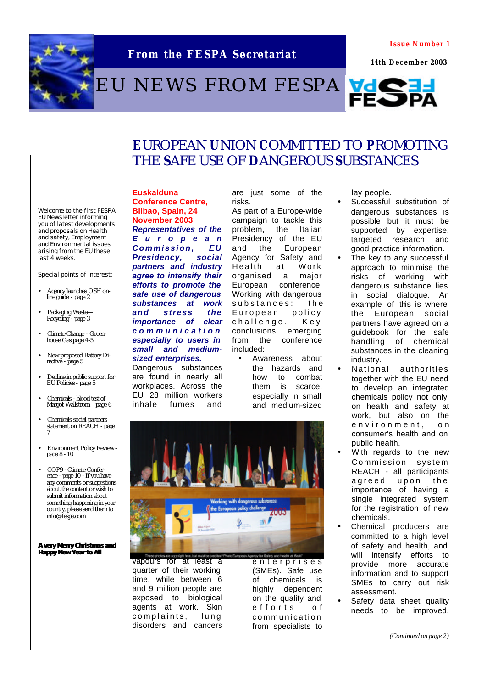

### **From the FESPA Secretariat**

**Issue Number 1**

 **14th December 2003**

# EU NEWS FROM FESPA VOCE



### **E**UROPEAN **U**NION **C**OMMITTED TO **P**ROMOTING THE **S**AFE USE OF **D**ANGEROUS **S**UBSTANCES

Welcome to the first FESPA EU Newsletter informing you of latest developments and proposals on Health and safety, Employment and Environmental issues arising from the EU these last 4 weeks.

Special points of interest:

- Agency launches OSH online guide - page 2
- Packaging Waste-Recycling - page 3
- Climate Change Green-house Gas page 4-5
- New proposed Battery Directive - page 5
- Decline in public support for EU Policies - page 5
- Chemicals blood test of Margot Wallstrom—page 6
- Chemicals social partners statement on REACH page 7
- Environment Policy Review page 8 - 10
- COP9 Climate Conference - page 10 - If you have any comments or suggestions about the content or wish to submit information about something happening in your country, please send them to info@fespa.com

**A very Merry Christmas and Happy New Year to All**

#### **Euskalduna Conference Centre, Bilbao, Spain, 24 November 2003** *Representatives of the*

*Europea n Commission, EU Presidency, social partners and industry agree to intensify their efforts to promote the safe use of dangerous substances at work and stress the importance of clear communication especially to users in small and mediumsized enterprises.* 

Dangerous substances are found in nearly all workplaces. Across the EU 28 million workers inhale fumes and

are just some of the risks. As part of a Europe-wide

campaign to tackle this problem, the Italian Presidency of the EU and the European Agency for Safety and Health at Work organised a major European conference, Working with dangerous substances: th e European policy challenge. Key conclusions emerging from the conference included:

• Awareness about the hazards and how to combat them is scarce, especially in small and medium-sized



lay people.

- Successful substitution of dangerous substances is possible but it must be supported by expertise, targeted research and good practice information.
- The key to any successful approach to minimise the risks of working with dangerous substance lies in social dialogue. An example of this is where the European social partners have agreed on a guidebook for the safe handling of chemical substances in the cleaning industry.
- National authorities together with the EU need to develop an integrated chemicals policy not only on health and safety at work, but also on the environment, on consumer's health and on public health.
- With regards to the new Commission system REACH - all participants agreed upon the importance of having a single integrated system for the registration of new chemicals.
- Chemical producers are committed to a high level of safety and health, and will intensify efforts to provide more accurate information and to support SMEs to carry out risk assessment.
- Safety data sheet quality needs to be improved.

*(Continued on page 2)*



These photos are populate by the but must be credited T<br>Vapours for at least a quarter of their working time, while between 6 and 9 million people are exposed to biological agents at work. Skin complaints, lung disorders and cancers

ty for Sadesy and Health at Mode enterprise s (SMEs). Safe use of chemicals is highly dependent on the quality and efforts o f communication from specialists to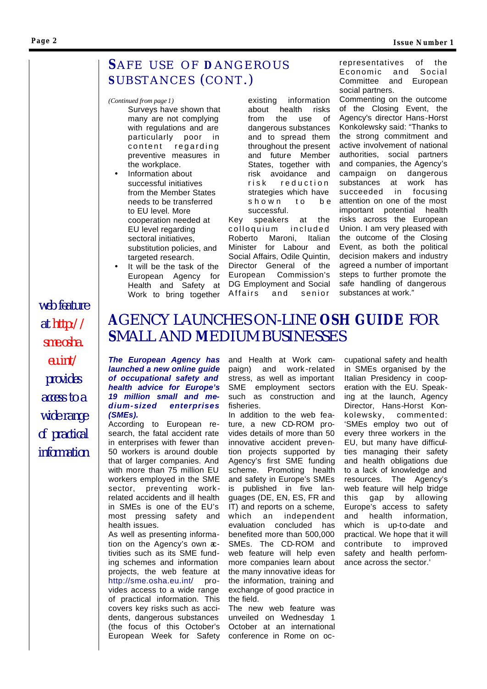### SAFE USE OF DANGEROUS SUBSTANCES (CONT.)

#### *(Continued from page 1)*

- Surveys have shown that many are not complying with regulations and are particularly poor in content regarding preventive measures in the workplace.
- Information about successful initiatives from the Member States needs to be transferred to EU level. More cooperation needed at EU level regarding sectoral initiatives. substitution policies, and targeted research.
- It will be the task of the European Agency for Health and Safety at Work to bring together

existing information about health risks from the use of dangerous substances and to spread them throughout the present and future Member States, together with risk avoidance and risk reduction strategies which have shown to be successful.

Key speakers at the colloquium included Roberto Maroni, Italian Minister for Labour and Social Affairs, Odile Quintin, Director General of the European Commission's DG Employment and Social Affairs and senior

representatives of the Economic and Social Committee and European social partners.

Commenting on the outcome of the Closing Event, the Agency's director Hans-Horst Konkolewsky said: "Thanks to the strong commitment and active involvement of national authorities, social partners and companies, the Agency's campaign on dangerous substances at work has succeeded in focusing attention on one of the most important potential health risks across the European Union. I am very pleased with the outcome of the Closing Event, as both the political decision makers and industry agreed a number of important steps to further promote the safe handling of dangerous substances at work."

## *at http:// sme.osha. eu.int/ provides access to a wide range of practical information*

*web feature* 

### **A**GENCY LAUNCHES ON-LINE **OSH GUIDE** FOR **S**MALL AND **M**EDIUM BUSINESSES

#### *The European Agency has launched a new online guide of occupational safety and health advice for Europe's 19 million small and medium-sized enterprises (SMEs).*

According to European research, the fatal accident rate in enterprises with fewer than 50 workers is around double that of larger companies. And with more than 75 million EU workers employed in the SME sector, preventing workrelated accidents and ill health in SMEs is one of the EU's most pressing safety and health issues.

As well as presenting information on the Agency's own activities such as its SME funding schemes and information projects, the web feature at http://sme.osha.eu.int/ provides access to a wide range of practical information. This covers key risks such as accidents, dangerous substances (the focus of this October's European Week for Safety

and Health at Work campaign) and work -related stress, as well as important SME employment sectors such as construction and fisheries.

In addition to the web feature, a new CD-ROM provides details of more than 50 innovative accident prevention projects supported by Agency's first SME funding scheme. Promoting health and safety in Europe's SMEs is published in five languages (DE, EN, ES, FR and IT) and reports on a scheme, which an independent evaluation concluded has benefited more than 500,000 SMEs. The CD-ROM and web feature will help even more companies learn about the many innovative ideas for the information, training and exchange of good practice in the field.

The new web feature was unveiled on Wednesday 1 October at an international conference in Rome on oc-

cupational safety and health in SMEs organised by the Italian Presidency in cooperation with the EU. Speaking at the launch, Agency Director, Hans-Horst Konkolewsky, commented: 'SMEs employ two out of every three workers in the EU, but many have difficulties managing their safety and health obligations due to a lack of knowledge and resources. The Agency's web feature will help bridge this gap by allowing Europe's access to safety and health information, which is up-to-date and practical. We hope that it will contribute to improved safety and health performance across the sector.'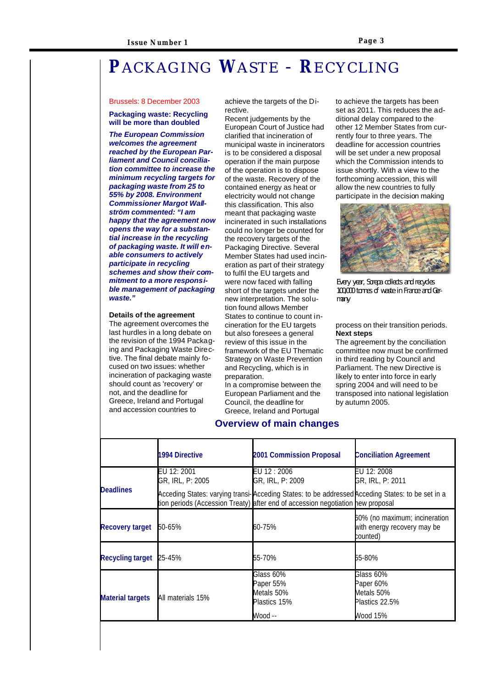## **P**ACKAGING **W**ASTE - **R**ECYCLING

#### Brussels: 8 December 2003

#### **Packaging waste: Recycling will be more than doubled**

*The European Commission welcomes the agreement reached by the European Parliament and Council conciliation committee to increase the minimum recycling targets for packaging waste from 25 to 55% by 2008. Environment Commissioner Margot Wallström commented: "I am happy that the agreement now opens the way for a substantial increase in the recycling of packaging waste. It will enable consumers to actively participate in recycling schemes and show their commitment to a more responsible management of packaging waste."*

#### **Details of the agreement**

The agreement overcomes the last hurdles in a long debate on the revision of the 1994 Packaging and Packaging Waste Directive. The final debate mainly focused on two issues: whether incineration of packaging waste should count as 'recovery' or not, and the deadline for Greece, Ireland and Portugal and accession countries to

achieve the targets of the Directive.

Recent judgements by the European Court of Justice had clarified that incineration of municipal waste in incinerators is to be considered a disposal operation if the main purpose of the operation is to dispose of the waste. Recovery of the contained energy as heat or electricity would not change this classification. This also meant that packaging waste incinerated in such installations could no longer be counted for the recovery targets of the Packaging Directive. Several Member States had used incineration as part of their strategy to fulfil the EU targets and were now faced with falling short of the targets under the new interpretation. The solution found allows Member States to continue to count incineration for the EU targets but also foresees a general review of this issue in the framework of the EU Thematic Strategy on Waste Prevention and Recycling, which is in preparation.

In a compromise between the European Parliament and the Council, the deadline for Greece, Ireland and Portugal

#### **Overview of main changes**

to achieve the targets has been set as 2011. This reduces the additional delay compared to the other 12 Member States from currently four to three years. The deadline for accession countries will be set under a new proposal which the Commission intends to issue shortly. With a view to the forthcoming accession, this will allow the new countries to fully participate in the decision making



Every year, Sorepa collects and recycles 100,000 tonnes of waste in France and Germany

#### process on their transition periods. **Next steps**

The agreement by the conciliation committee now must be confirmed in third reading by Council and Parliament. The new Directive is likely to enter into force in early spring 2004 and will need to be transposed into national legislation by autumn 2005.

|                         | 1994 Directive                  | 2001 Commission Proposal                                                                                                                                                            | <b>Conciliation Agreement</b>                                            |
|-------------------------|---------------------------------|-------------------------------------------------------------------------------------------------------------------------------------------------------------------------------------|--------------------------------------------------------------------------|
| <b>Deadlines</b>        | EU 12: 2001<br>GR, IRL, P: 2005 | EU 12 : 2006<br>GR, IRL, P: 2009                                                                                                                                                    | EU 12: 2008<br>GR, IRL, P: 2011                                          |
|                         |                                 | Acceding States: varying transi-Acceding States: to be addressed Acceding States: to be set in a<br>tion periods (Accession Treaty) after end of accession negotiation hew proposal |                                                                          |
| Recovery target         | 50-65%                          | 60-75%                                                                                                                                                                              | 60% (no maximum; incineration<br>with energy recovery may be<br>counted) |
| Recycling target        | 25-45%                          | 55-70%                                                                                                                                                                              | 55-80%                                                                   |
| <b>Material targets</b> | All materials 15%               | Glass 60%<br>Paper 55%<br>Metals 50%<br>Plastics 15%<br>-- Wood                                                                                                                     | Glass 60%<br>Paper 60%<br>Metals 50%<br>Plastics 22.5%<br>Wood 15%       |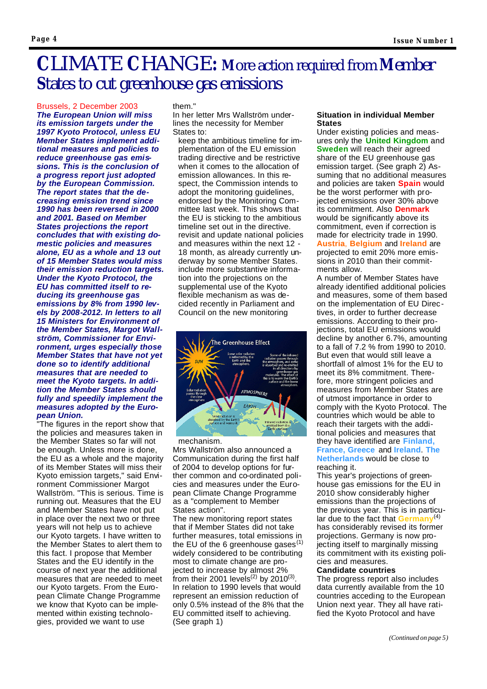## **C**LIMATE **C**HANGE**: M**ore action required from **M**ember **S**tates to cut greenhouse gas emissions

Brussels, 2 December 2003 *The European Union will miss its emission targets under the 1997 Kyoto Protocol, unless EU Member States implement additional measures and policies to reduce greenhouse gas emissions. This is the conclusion of a progress report just adopted by the European Commission. The report states that the decreasing emission trend since 1990 has been reversed in 2000 and 2001. Based on Member States projections the report concludes that with existing domestic policies and measures alone, EU as a whole and 13 out of 15 Member States would miss their emission reduction targets. Under the Kyoto Protocol, the EU has committed itself to reducing its greenhouse gas emissions by 8% from 1990 levels by 2008-2012. In letters to all 15 Ministers for Environment of the Member States, Margot Wallström, Commissioner for Environment, urges especially those Member States that have not yet done so to identify additional measures that are needed to meet the Kyoto targets. In addition the Member States should fully and speedily implement the measures adopted by the European Union.*

"The figures in the report show that the policies and measures taken in the Member States so far will not be enough. Unless more is done, the EU as a whole and the majority of its Member States will miss their Kyoto emission targets," said Environment Commissioner Margot Wallström. "This is serious. Time is running out. Measures that the EU and Member States have not put in place over the next two or three years will not help us to achieve our Kyoto targets. I have written to the Member States to alert them to this fact. I propose that Member States and the EU identify in the course of next year the additional measures that are needed to meet our Kyoto targets. From the European Climate Change Programme we know that Kyoto can be implemented within existing technologies, provided we want to use

them."

In her letter Mrs Wallström underlines the necessity for Member States to:

keep the ambitious timeline for implementation of the EU emission trading directive and be restrictive when it comes to the allocation of emission allowances. In this respect, the Commission intends to adopt the monitoring guidelines, endorsed by the Monitoring Committee last week. This shows that the EU is sticking to the ambitious timeline set out in the directive. revisit and update national policies and measures within the next 12 - 18 month, as already currently underway by some Member States. include more substantive information into the projections on the supplemental use of the Kyoto flexible mechanism as was decided recently in Parliament and Council on the new monitoring



#### mechanism.

Mrs Wallström also announced a Communication during the first half of 2004 to develop options for further common and co-ordinated policies and measures under the European Climate Change Programme as a "complement to Member States action".

The new monitoring report states that if Member States did not take further measures, total emissions in the EU of the 6 greenhouse gases $(1)$ widely considered to be contributing most to climate change are projected to increase by almost 2% from their 2001 levels<sup>(2)</sup> by 2010<sup>(3)</sup> . In relation to 1990 levels that would represent an emission reduction of only 0.5% instead of the 8% that the EU committed itself to achieving. (See graph 1)

#### **Situation in individual Member States**

Under existing policies and measures only the **United Kingdom** and **Sweden** will reach their agreed share of the EU greenhouse gas emission target. (See graph 2) Assuming that no additional measures and policies are taken **Spain** would be the worst performer with projected emissions over 30% above its commitment. Also **Denmark** would be significantly above its commitment, even if correction is made for electricity trade in 1990. **Austria**, **Belgium** and **Ireland** are projected to emit 20% more emissions in 2010 than their commitments allow.

A number of Member States have already identified additional policies and measures, some of them based on the implementation of EU Directives, in order to further decrease emissions. According to their projections, total EU emissions would decline by another 6.7%, amounting to a fall of 7.2 % from 1990 to 2010. But even that would still leave a shortfall of almost 1% for the EU to meet its 8% commitment. Therefore, more stringent policies and measures from Member States are of utmost importance in order to comply with the Kyoto Protocol. The countries which would be able to reach their targets with the additional policies and measures that they have identified are **Finland, France, Greece** and **Ireland**. **The Netherlands** would be close to reaching it.

This year's projections of greenhouse gas emissions for the EU in 2010 show considerably higher emissions than the projections of the previous year. This is in particular due to the fact that **Germany**(4) has considerably revised its former projections. Germany is now projecting itself to marginally missing its commitment with its existing policies and measures.

#### **Candidate countries**

The progress report also includes data currently available from the 10 countries acceding to the European Union next year. They all have ratified the Kyoto Protocol and have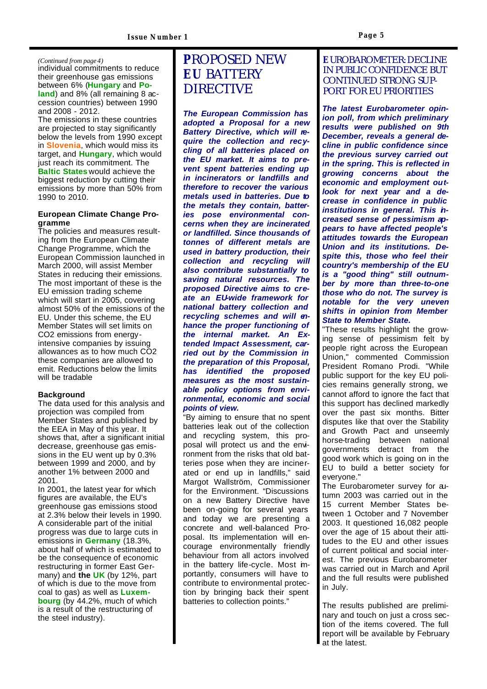#### *(Continued from page 4)*

individual commitments to reduce their greenhouse gas emissions between 6% (**Hungary** and **Poland**) and 8% (all remaining 8 accession countries) between 1990 and 2008 - 2012.

The emissions in these countries are projected to stay significantly below the levels from 1990 except in **Slovenia**, which would miss its target, and **Hungary**, which would just reach its commitment. The **Baltic States** would achieve the biggest reduction by cutting their emissions by more than 50% from 1990 to 2010.

#### **European Climate Change Programme**

The policies and measures resulting from the European Climate Change Programme, which the European Commission launched in March 2000, will assist Member States in reducing their emissions. The most important of these is the EU emission trading scheme which will start in 2005, covering almost 50% of the emissions of the EU. Under this scheme, the EU Member States will set limits on CO2 emissions from energyintensive companies by issuing allowances as to how much CO2 these companies are allowed to emit. Reductions below the limits will be tradable

#### **Background**

The data used for this analysis and projection was compiled from Member States and published by the EEA in May of this year. It shows that, after a significant initial decrease, greenhouse gas emissions in the EU went up by 0.3% between 1999 and 2000, and by another 1% between 2000 and 2001.

In 2001, the latest year for which figures are available, the EU's greenhouse gas emissions stood at 2.3% below their levels in 1990. A considerable part of the initial progress was due to large cuts in emissions in **Germany** (18.3%, about half of which is estimated to be the consequence of economic restructuring in former East Germany) and **the UK** (by 12%, part of which is due to the move from coal to gas) as well as **Luxembourg** (by 44.2%, much of which is a result of the restructuring of the steel industry).

### **P**ROPOSED NEW **EU** BATTERY DIRECTIVE

*The European Commission has adopted a Proposal for a new Battery Directive, which will require the collection and recycling of all batteries placed on the EU market. It aims to prevent spent batteries ending up in incinerators or landfills and therefore to recover the various metals used in batteries. Due to the metals they contain, batteries pose environmental concerns when they are incinerated or landfilled. Since thousands of tonnes of different metals are used in battery production, their collection and recycling will also contribute substantially to saving natural resources. The proposed Directive aims to create an EU-wide framework for national battery collection and recycling schemes and will enhance the proper functioning of the internal market. An Extended Impact Assessment, carried out by the Commission in the preparation of this Proposal, has identified the proposed measures as the most sustainable policy options from environmental, economic and social points of view.*

"By aiming to ensure that no spent batteries leak out of the collection and recycling system, this proposal will protect us and the environment from the risks that old batteries pose when they are incinerated or end up in landfills," said Margot Wallström, Commissioner for the Environment. "Discussions on a new Battery Directive have been on-going for several years and today we are presenting a concrete and well-balanced Proposal. Its implementation will encourage environmentally friendly behaviour from all actors involved in the battery life-cycle. Most importantly, consumers will have to contribute to environmental protection by bringing back their spent batteries to collection points."

#### **E**UROBAROMETER: DECLINE IN PUBLIC CONFIDENCE BUT CONTINUED STRONG SUP-PORT FOR EU PRIORITIES

*The latest Eurobarometer opinion poll, from which preliminary results were published on 9th December, reveals a general decline in public confidence since the previous survey carried out in the spring. This is reflected in growing concerns about the economic and employment outlook for next year and a decrease in confidence in public institutions in general. This increased sense of pessimism appears to have affected people's attitudes towards the European Union and its institutions. Despite this, those who feel their country's membership of the EU is a "good thing" still outnumber by more than three-to-one those who do not. The survey is notable for the very uneven shifts in opinion from Member State to Member State.* 

"These results highlight the growing sense of pessimism felt by people right across the European Union," commented Commission President Romano Prodi. "While public support for the key EU policies remains generally strong, we cannot afford to ignore the fact that this support has declined markedly over the past six months. Bitter disputes like that over the Stability and Growth Pact and unseemly horse-trading between national governments detract from the good work which is going on in the EU to build a better society for everyone."

The Eurobarometer survey for autumn 2003 was carried out in the 15 current Member States between 1 October and 7 November 2003. It questioned 16,082 people over the age of 15 about their attitudes to the EU and other issues of current political and social interest. The previous Eurobarometer was carried out in March and April and the full results were published in July.

The results published are preliminary and touch on just a cross section of the items covered. The full report will be available by February at the latest.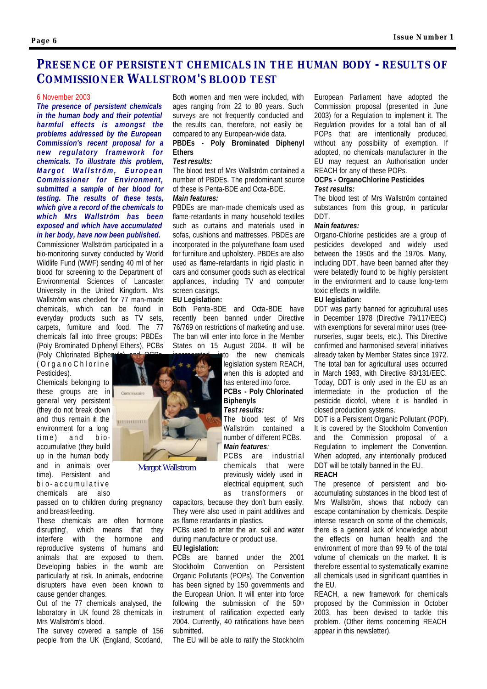### **PRESENCE OF PERSISTENT CHEMICALS IN THE HUMAN BODY - RESULTS OF COMMISSIONER WALLSTROM'S BLOOD TEST**

#### 6 November 2003

*The presence of persistent chemicals in the human body and their potential harmful effects is amongst the problems addressed by the European Commission's recent proposal for a new regulatory framework for chemicals. To illustrate this problem, Margot Wallström, European Commissioner for Environment, submitted a sample of her blood for testing. The results of these tests, which give a record of the chemicals to which Mrs Wallström has been exposed and which have accumulated in her body, have now been published.*

Commissioner Wallström participated in a bio-monitoring survey conducted by World Wildlife Fund (WWF) sending 40 ml of her blood for screening to the Department of Environmental Sciences of Lancaster University in the United Kingdom. Mrs Wallström was checked for 77 man-made chemicals, which can be found in everyday products such as TV sets, carpets, furniture and food. The 77 chemicals fall into three groups: PBDEs (Poly Brominated Diphenyl Ethers), PCBs

(Poly Chlorinated Biphen) (OrganoChl orine Pesticides).

Chemicals belonging to these groups are in commissaire general very persistent (they do not break down and thus remain in the environment for a long time) and bioaccumulative (they build up in the human body and in animals over time). Persistent and bio - accumulative chemicals are also

passed on to children during pregnancy and breast-feeding.

These chemicals are often 'hormone disrupting', which means that they interfere with the hormone and reproductive systems of humans and animals that are exposed to them. Developing babies in the womb are particularly at risk. In animals, endocrine disrupters have even been known to cause gender changes.

Out of the 77 chemicals analysed, the laboratory in UK found 28 chemicals in Mrs Wallström's blood.

The survey covered a sample of 156 people from the UK (England, Scotland,

Both women and men were included, with ages ranging from 22 to 80 years. Such surveys are not frequently conducted and the results can, therefore, not easily be compared to any European-wide data.

#### **PBDEs - Poly Brominated Diphenyl Ethers**

#### *Test results:*

The blood test of Mrs Wallström contained a number of PBDEs. The predominant source of these is Penta-BDE and Octa-BDE.

#### *Main features:*

PBDEs are man-made chemicals used as flame-retardants in many household textiles such as curtains and materials used in sofas, cushions and mattresses. PBDEs are incorporated in the polyurethane foam used for furniture and upholstery. PBDEs are also used as flame-retardants in rigid plastic in cars and consumer goods such as electrical appliances, including TV and computer screen casings.

#### **EU Legislation:**

Both Penta-BDE and Octa-BDE have recently been banned under Directive 76/769 on restrictions of marketing and use. The ban will enter into force in the Member States on 15 August 2004. It will be

> to the new chemicals legislation system REACH, when this is adopted and has entered into force. **PCBs - Poly Chlorinated Biphenyls** *Test results:*

> The blood test of Mrs Wallström contained a number of different PCBs. *Main features:*

PCBs are industrial chemicals that were previously widely used in electrical equipment, such as transformers or

capacitors, because they don't burn easily. They were also used in paint additives and as flame retardants in plastics.

PCBs used to enter the air, soil and water during manufacture or product use.

#### **EU legislation:**

PCBs are banned under the 2001 Stockholm Convention on Persistent Organic Pollutants (POPs). The Convention has been signed by 150 governments and the European Union. It will enter into force following the submission of the 50th instrument of ratification expected early 2004. Currently, 40 ratifications have been submitted.

The EU will be able to ratify the Stockholm

European Parliament have adopted the Commission proposal (presented in June 2003) for a Regulation to implement it. The Regulation provides for a total ban of all POPs that are intentionally produced, without any possibility of exemption. If adopted, no chemicals manufacturer in the EU may request an Authorisation under REACH for any of these POPs.

#### **OCPs - OrganoChlorine Pesticides** *Test results:*

The blood test of Mrs Wallström contained substances from this group, in particular DDT.

#### *Main features:*

Organo-Chlorine pesticides are a group of pesticides developed and widely used between the 1950s and the 1970s. Many, including DDT, have been banned after they were belatedly found to be highly persistent in the environment and to cause long-term toxic effects in wildlife.

#### **EU legislation:**

DDT was partly banned for agricultural uses in December 1978 (Directive 79/117/EEC) with exemptions for several minor uses (treenurseries, sugar beets, etc.). This Directive confirmed and harmonised several initiatives already taken by Member States since 1972. The total ban for agricultural uses occurred in March 1983, with Directive 83/131/EEC. Today, DDT is only used in the EU as an intermediate in the production of the pesticide dicofol, where it is handled in closed production systems.

DDT is a Persistent Organic Pollutant (POP). It is covered by the Stockholm Convention and the Commission proposal of a Regulation to implement the Convention. When adopted, any intentionally produced DDT will be totally banned in the EU.

#### **REACH**

The presence of persistent and bioaccumulating substances in the blood test of Mrs Wallström, shows that nobody can escape contamination by chemicals. Despite intense research on some of the chemicals, there is a general lack of knowledge about the effects on human health and the environment of more than 99 % of the total volume of chemicals on the market. It is therefore essential to systematically examine all chemicals used in significant quantities in the EU.

REACH, a new framework for chemi cals proposed by the Commission in October 2003, has been devised to tackle this problem. (Other items concerning REACH appear in this newsletter).



Margot Wallstrom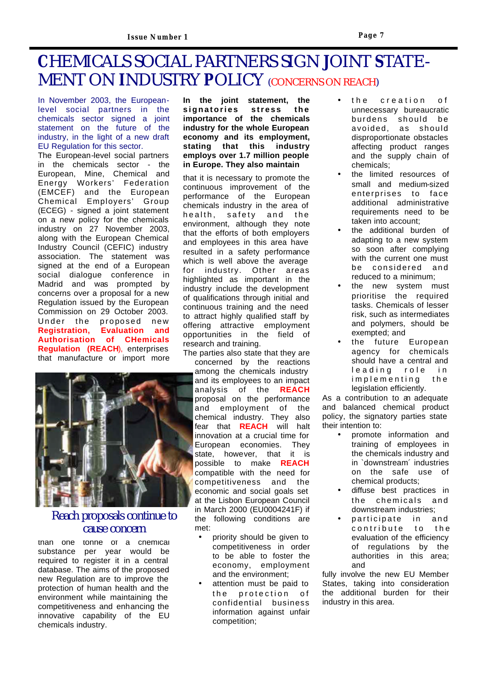## **C**HEMICALS SOCIAL PARTNERS SIGN **J**OINT **S**TATE-MENT ON **I**NDUSTRY **P**OLICY (CONCERNS ON REACH)

In November 2003, the Europeanlevel social partners in the chemicals sector signed a joint statement on the future of the industry, in the light of a new draft EU Regulation for this sector.

The European-level social partners in the chemicals sector - the European, Mine, Chemical and Energy Workers' Federation (EMCEF) and the European Chemical Employers' Group (ECEG) - signed a joint statement on a new policy for the chemicals industry on 27 November 2003, along with the European Chemical Industry Council (CEFIC) industry association. The statement was signed at the end of a European social dialogue conference in Madrid and was prompted by concerns over a proposal for a new Regulation issued by the European Commission on 29 October 2003. Under the proposed new **Registration, Evaluation and Authorisation of CHemicals Regulation (REACH**), enterprises that manufacture or import more



### Reach proposals continue to cause concern

than one tonne of a chemical substance per year would be required to register it in a central database. The aims of the proposed new Regulation are to improve the protection of human health and the environment while maintaining the competitiveness and enhancing the innovative capability of the EU chemicals industry.

**In the joint statement, the signatories stress the importance of the chemicals industry for the whole European economy and its employment, stating that this industry employs over 1.7 million people in Europe. They also maintain**

that it is necessary to promote the continuous improvement of the performance of the European chemicals industry in the area of health, safety and the environment, although they note that the efforts of both employers and employees in this area have resulted in a safety performance which is well above the average for industry. Other areas highlighted as important in the industry include the development of qualifications through initial and continuous training and the need to attract highly qualified staff by offering attractive employment opportunities in the field of research and training.

The parties also state that they are concerned by the reactions among the chemicals industry and its employees to an impact analysis of the **REACH**  proposal on the performance and employment of the chemical industry. They also fear that **REACH** will halt innovation at a crucial time for European economies. They state, however, that it is possible to make **REACH** compatible with the need for competitiveness and the economic and social goals set at the Lisbon European Council in March 2000 (EU0004241F) if the following conditions are met:

- priority should be given to competitiveness in order to be able to foster the economy, employment and the environment;
- attention must be paid to the protection of confidential business information against unfair competition;
- the creation of unnecessary bureaucratic burdens should be avoided, as should disproportionate obstacles affecting product ranges and the supply chain of chemicals;
- the limited resources of small and medium-sized enterprises to face additional administrative requirements need to be taken into account;
- the additional burden of adapting to a new system so soon after complying with the current one must be considered and reduced to a minimum;
- the new system must prioritise the required tasks. Chemicals of lesser risk, such as intermediates and polymers, should be exempted; and
- the future European agency for chemicals should have a central and leading role in implementing the legislation efficiently.

As a contribution to an adequate and balanced chemical product policy, the signatory parties state their intention to:

- promote information and training of employees in the chemicals industry and in `downstream´ industries on the safe use of chemical products;
- diffuse best practices in the chemicals and downstream industries;
- participate in and contribute to the evaluation of the efficiency of regulations by the authorities in this area; and

fully involve the new EU Member States, taking into consideration the additional burden for their industry in this area.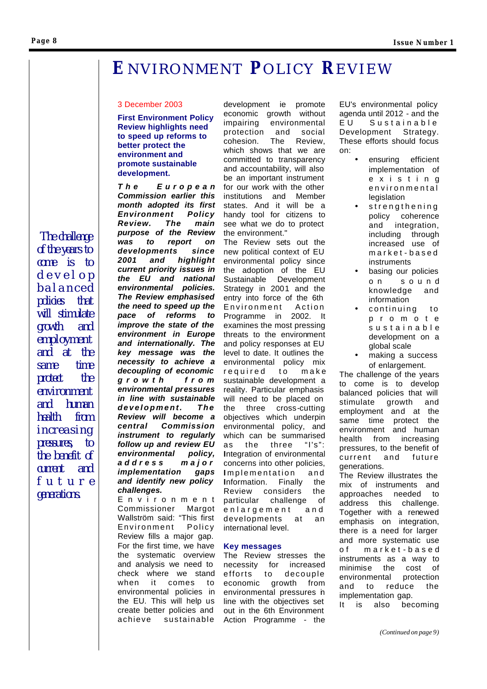#### **Page 8**

## **E**NVIRONMENT **P**OLICY **R**EVIEW

#### 3 December 2003

#### **First Environment Policy Review highlights need to speed up reforms to better protect the environment and promote sustainable development.**

*The Europea n Commission earlier this month adopted its first Environment Policy Review. The main purpose of the Review was to report on developments since 2001 and highlight current priority issues in the EU and national environmental policies. The Review emphasised the need to speed up the pace of reforms to improve the state of the environment in Europe and internationally. The key message was the necessity to achieve a decoupling of economic growth fro m environmental pressures in line with sustainable development. The Review will become a central Commission instrument to regularly follow up and review EU environmental policy, address major implementation gaps and identify new policy challenges.* 

Environmen t Commissioner Margot Wallström said: "This first Environment Policy Review fills a major gap. For the first time, we have the systematic overview and analysis we need to check where we stand when it comes to environmental policies in the EU. This will help us create better policies and achieve sustainable

development ie promote economic growth without impairing environmental protection and social cohesion. The Review, which shows that we are committed to transparency and accountability, will also be an important instrument for our work with the other institutions and Member states. And it will be a handy tool for citizens to see what we do to protect the environment."

The Review sets out the new political context of EU environmental policy since the adoption of the EU Sustainable Development Strategy in 2001 and the entry into force of the 6th Environment Action Programme in 2002. It examines the most pressing threats to the environment and policy responses at EU level to date. It outlines the environmental policy mix required to mak e sustainable development a reality. Particular emphasis will need to be placed on the three cross-cutting objectives which underpin environmental policy, and which can be summarised as the three "I's": **I**ntegration of environmental concerns into other policies, **I** mplementation and **I**nformation. Finally the Review considers the particular challenge of enlargement and developments at an international level.

#### **Key messages**

The Review stresses the necessity for increased efforts to decouple economic growth from environmental pressures in line with the objectives set out in the 6th Environment Action Programme - the

EU's environmental policy agenda until 2012 - and the EU Sustainable Development Strategy. These efforts should focus on:

- ensuring efficient implementation of existin g environmental legislation
- strengthening policy coherence and integration, including through increased use of market - based instruments
- basing our policies on soun d knowledge and information
- continuing to promot e sustainable development on a global scale
- making a success of enlargement.

The challenge of the years to come is to develop balanced policies that will stimulate growth and employment and at the same time protect the environment and human health from increasing pressures, to the benefit of current and future generations.

The Review illustrates the mix of instruments and approaches needed to address this challenge. Together with a renewed emphasis on integration, there is a need for larger and more systematic use of market - base d instruments as a way to minimise the cost of environmental protection and to reduce the implementation gap.

It is also becoming

*(Continued on page 9)*

*The challenge of the years to come is to develo p balance d policies that will stimulate growth and employment and at the same time protect the environment and human health from increasing pressures, to the benefit of current and futur e generations.*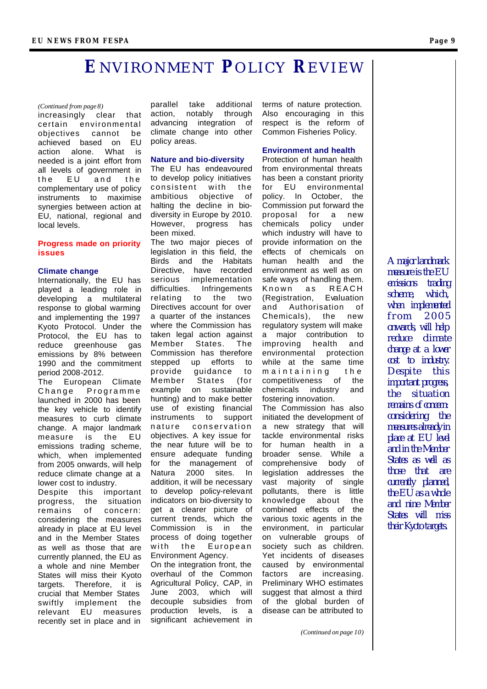## **E**NVIRONMENT **P**OLICY **R**EVIEW

#### *(Continued from page 8)*

increasingly clear that certain environmental objectives cannot be achieved based on EU action alone. What is needed is a joint effort from all levels of government in the EU and the complementary use of policy instruments to maximise synergies between action at EU, national, regional and local levels.

#### **Progress made on priority issues**

#### **Climate change**

Internationally, the EU has played a leading role in developing a multilateral response to global warming and implementing the 1997 Kyoto Protocol. Under the Protocol, the EU has to reduce greenhouse gas emissions by 8% between 1990 and the commitment period 2008-2012. The European Climate

Change Programme launched in 2000 has been the key vehicle to identify measures to curb climate change. A major landmark measure is the EU emissions trading scheme, which, when implemented from 2005 onwards, will help reduce climate change at a lower cost to industry.

Despite this important progress, the situation remains of concern: considering the measures already in place at EU level and in the Member States as well as those that are currently planned, the EU as a whole and nine Member States will miss their Kyoto targets. Therefore, it is crucial that Member States swiftly implement the relevant EU measures recently set in place and in

parallel take additional action, notably through advancing integration of climate change into other policy areas.

#### **Nature and bio-diversity**

The EU has endeavoured to develop policy initiatives consistent with the ambitious objective of halting the decline in biodiversity in Europe by 2010. However, progress has been mixed.

The two major pieces of legislation in this field, the Birds and the Habitats Directive, have recorded serious implementation difficulties. Infringements relating to the two Directives account for over a quarter of the instances where the Commission has taken legal action against Member States. The Commission has therefore stepped up efforts to provide guidance to Member States (for example on sustainable hunting) and to make better use of existing financial instruments to support nature conservation objectives. A key issue for the near future will be to ensure adequate funding for the management of Natura 2000 sites. In addition, it will be necessary to develop policy-relevant indicators on bio-diversity to get a clearer picture of current trends, which the Commission is in the process of doing together with the European Environment Agency. On the integration front, the overhaul of the Common Agricultural Policy, CAP, in

June 2003, which will decouple subsidies from production levels, is a significant achievement in

terms of nature protection. Also encouraging in this respect is the reform of Common Fisheries Policy.

#### **Environment and health**

Protection of human health from environmental threats has been a constant priority for EU environmental policy. In October, the Commission put forward the proposal for a new chemicals policy under which industry will have to provide information on the effects of chemicals on human health and the environment as well as on safe ways of handling them. Known as REACH (Registration, Evaluation and Authorisation of Chemicals), the new regulatory system will make a major contribution to improving health and environmental protection while at the same time maintaining the competitiveness of the chemicals industry and fostering innovation. The Commission has also initiated the development of a new strategy that will tackle environmental risks for human health in a broader sense. While a comprehensive body of legislation addresses the vast majority of single pollutants, there is little knowledge about the combined effects of the various toxic agents in the environment, in particular on vulnerable groups of society such as children. Yet incidents of diseases caused by environmental factors are increasing. Preliminary WHO estimates suggest that almost a third of the global burden of disease can be attributed to

*(Continued on page 10)*

*A major landmark measure is the EU emissions trading scheme, which, when implemented from 200 5 onwards, will help reduce climate change at a lower cost to industry. Despite this important progress, the situation remains of concern: considering the measures already in place at EU level and in the Member States as well as those that are currently planned, the EU as a whole and nine Member States will miss their Kyoto targets.*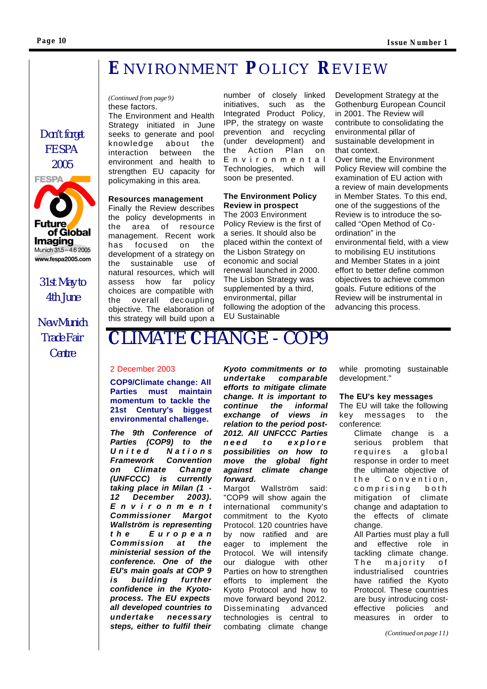*Don't forget FESPA 2005* 

**FESPA** 

rture

**Imaging** Munich 31.5 - 4.6 2005 www.fespa2005.com

of Global

*31st May to 4th June*

*New Munich Trade Fair Centre*

## **E**NVIRONMENT **P**OLICY **R**EVIEW

#### *(Continued from page 9)* these factors.

The Environment and Health Strategy initiated in June seeks to generate and pool knowledge about the interaction between the environment and health to strengthen EU capacity for policymaking in this area.

#### **Resources management**

Finally the Review describes the policy developments in the area of resource management. Recent work has focused on the development of a strategy on the sustainable use of natural resources, which will assess how far policy choices are compatible with the overall dec oupling objective. The elaboration of this strategy will build upon a

number of closely linked initiatives, such as the Integrated Product Policy, IPP, the strategy on waste prevention and recycling (under development) and the Action Plan on Environmenta l Technologies, which will soon be presented.

#### **The Environment Policy Review in prospect**

The 2003 Environment Policy Review is the first of a series. It should also be placed within the context of the Lisbon Strategy on economic and social renewal launched in 2000. The Lisbon Strategy was supplemented by a third, environmental, pillar following the adoption of the EU Sustainable

Development Strategy at the Gothenburg European Council in 2001. The Review will contribute to consolidating the environmental pillar of sustainable development in that context.

Over time, the Environment Policy Review will combine the examination of EU action with a review of main developments in Member States. To this end, one of the suggestions of the Review is to introduce the socalled "Open Method of Coordination" in the environmental field, with a view to mobilising EU institutions and Member States in a joint effort to better define common objectives to achieve common goals. Future editions of the Review will be instrumental in advancing this process.

# **C**LIMATE **C**HANGE - COP9

#### 2 December 2003

**COP9/Climate change: All Parties must maintain momentum to tackle the 21st Century's biggest environmental challenge.**

*The 9th Conference of Parties (COP9) to the United Nation s Framework Convention on Climate Change (UNFCCC) is currently taking place in Milan (1 - 12 December 2003). Environmen t Commissioner Margot Wallström is representing the Europea n Commission at the ministerial session of the conference. One of the EU's main goals at COP 9 is building further confidence in the Kyotoprocess. The EU expects all developed countries to undertake necessary steps, either to fulfil their* 

*Kyoto commitments or to undertake comparable efforts to mitigate climate change. It is important to continue the informal exchange of views in relation to the period post-2012. All UNFCCC Parties need to explore possibilities on how to move the global fight against climate change forward.* 

Margot Wallström said: "COP9 will show again the international community's commitment to the Kyoto Protocol. 120 countries have by now ratified and are eager to implement the Protocol. We will intensify our dialogue with other Parties on how to strengthen efforts to implement the Kyoto Protocol and how to move forward beyond 2012. Disseminating advanced technologies is central to combating climate change while promoting sustainable development."

#### **The EU's key messages**

The EU will take the following key messages to the conference:

> Climate change is a serious problem that requires a global response in order to meet the ultimate objective of the Convention , comprising both mitigation of climate change and adaptation to the effects of climate change.

All Parties must play a full and effective role in tackling climate change. The majority of industrialised countries have ratified the Kyoto Protocol. These countries are busy introducing costeffective policies and measures in order to

*(Continued on page 11)*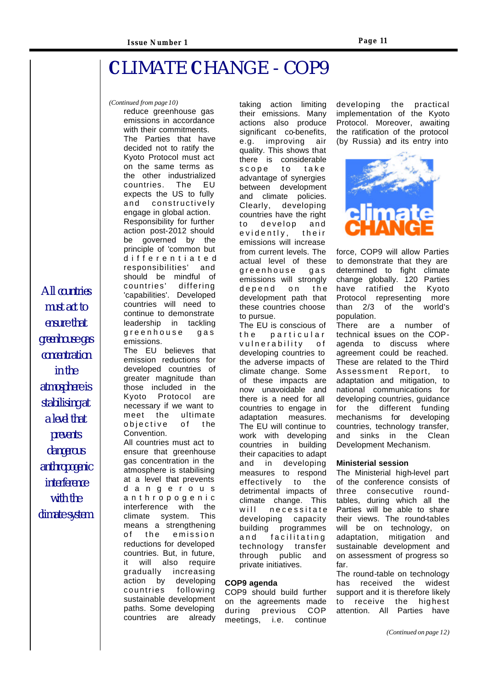# **C**LIMATE **C**HANGE - COP9

*(Continued from page 10)*

reduce greenhouse gas emissions in accordance with their commitments. The Parties that have decided not to ratify the Kyoto Protocol must act on the same terms as the other industrialized countries. The EU expects the US to fully and constructively engage in global action. Responsibility for further action post-2012 should be governed by the principle of 'common but differe ntiate d responsibilities' and should be mindful of countries' differing 'capabilities'. Developed countries will need to continue to demonstrate leadership in tackling greenhouse gas emissions.

The EU believes that emission reductions for developed countries of greater magnitude than those included in the Kyoto Protocol are necessary if we want to meet the ultimate objective of the Convention.

All countries must act to ensure that greenhouse gas concentration in the atmosphere is stabilising at a level that prevents dangerou s anthropogeni c interference with the climate system. This means a strengthening of the emission reductions for developed countries. But, in future, it will also require gradually increasing action by developing countries following sustainable development paths. Some developing countries are already

taking action limiting their emissions. Many actions also produce significant co-benefits, e.g. improving air quality. This shows that there is considerable scope to take advantage of synergies between development and climate policies. Clearly, developing countries have the right to develop and evidently, their emissions will increase from current levels. The actual level of these greenhouse gas emissions will strongly depend on the development path that these countries choose to pursue.

The EU is conscious of the particular vulnerability of developing countries to the adverse impacts of climate change. Some of these impacts are now unavoidable and there is a need for all countries to engage in adaptation measures. The EU will continue to work with developing countries in building their capacities to adapt and in developing measures to respond effectively to the detrimental impacts of climate change. This will necessitate developing capacity building programmes and facilitating technology transfer through public and private initiatives.

#### **COP9 agenda**

COP9 should build further on the agreements made during previous COP meetings, i.e. continue

developing the practical implementation of the Kyoto Protocol. Moreover, awaiting the ratification of the protocol (by Russia) and its entry into



force, COP9 will allow Parties to demonstrate that they are determined to fight climate change globally. 120 Parties have ratified the Kyoto Protocol representing more than 2/3 of the world's population.

There are a number of technical issues on the COPagenda to discuss where agreement could be reached. These are related to the Third<br>Assessment Report, to Assessment adaptation and mitigation, to national communications for developing countries, guidance for the different funding mechanisms for developing countries, technology transfer, and sinks in the Clean Development Mechanism.

#### **Ministerial session**

The Ministerial high-level part of the conference consists of three consecutive roundtables, during which all the Parties will be able to share their views. The round-tables will be on technology, on adaptation, mitigation and sustainable development and on assessment of progress so far.

The round-table on technology has received the widest support and it is therefore likely to receive the highest attention. All Parties have

*All countries must act to ensure that greenhouse gas concentration in the atmosphere is stabilising at a level that prevents dangerous anthropogenic interference with the climate system.*